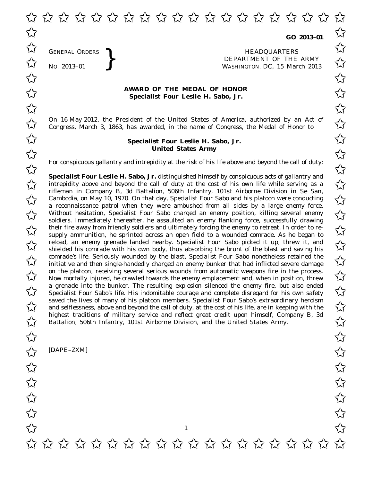✩ ✩ ✩ ✩ ✩ ✩ ✩ ✩ ✩ ✩ ✩ ✩ ✩ ✩ ✩ ✩ ✩ ✩ ✩ ✩  $\overrightarrow{\lambda}$  co 2013-01  $\overrightarrow{\lambda}$ 

**GO 2013–01**

GENERAL ORDERS **REAL ORDERS** HEADQUARTERS **HEADQUARTERS HEADQUARTERS DEPARTMENT** OF THE **NO.** 2013–01 **PM** No. 2013-01<br>No. 2013-01<br>No. 2013-01 WASHINGTON, DC, *15 March 2013*  $\overrightarrow{\mathcal{A}}$  GENERAL ORDERS  $\overrightarrow{\mathcal{A}}$ 

## **AWARD OF THE MEDAL OF HONOR**<br>
Specialist Four Leslie H. Sabo. Jr. **Specialist Four Leslie H. Sabo, Jr.**

On 16 May 2012, the President of the United States of America, authorized by an Act of  $\sim$  Congress. March 3, 1863, has awarded, in the name of Congress, the Medal of Honor to  $\sim$ Congress, March 3, 1863, has awarded, in the name of Congress, the Medal of Honor to

## **Specialist Four Leslie H. Sabo, Jr.** ✩ ✩ **United States Army** United States Army

For conspicuous gallantry and intrepidity at the risk of his life above and beyond the call of duty:<br>  $\overrightarrow{\lambda}$ 

**Specialist Four Leslie H. Sabo, Jr.** distinguished himself by conspicuous acts of gallantry and **Specialist Four Leslie H. Sabo, Jr.** distinguished himself by conspicuous acts of gallantry and<br>intrepidity above and beyond the call of duty at the cost of his own life while serving as a rifleman in Company B, 3d Battalion, 506th Infantry, 101st Airborne Division in Se San, Cambodia, on May 10, 1970. On that day, Specialist Four Sabo and his platoon were conducting<br>  $\begin{matrix} \searrow \\ \searrow \end{matrix}$  Cambodia, on May 10, 1970. On that day, Specialist Four Sabo and his platoon were conducting a reconnaissance patrol when they were ambushed from all sides by a large enemy force. Without hesitation, Specialist Four Sabo charged an enemy position, killing several enemy  $\sim$ soldiers. Immediately thereafter, he assaulted an enemy flanking force, successfully drawing their fire away from friendly soldiers and ultimately forcing the enemy to retreat. In order to re-<br>  $\overline{\mathcal{M}}$  supply ammunition the sprinted across an open field to a wounded comrade. As he began to supply ammunition, he sprinted across an open field to a wounded comrade. As he began to reload, an enemy grenade landed nearby. Specialist Four Sabo picked it up, threw it, and<br>
Shielded his comrade with his own body thus absorbing the brunt of the blast and saying his shielded his comrade with his own body, thus absorbing the brunt of the blast and saving his  $\overline{\mathcal{A}}$  comrade's life. Seriously wounded by the blast, Specialist Four Sabo nonetheless retained the initiative and then single-handedly charged an enemy bunker that had inflicted severe damage initiative and then single-handedly charged an enemy bunker that had inflicted severe damage on the platoon, receiving several serious wounds from automatic weapons fire in the process.<br>Now mortally injured, he crawled towards the enemy emplacement and, when in position, threw Now mortally injured, he crawled towards the enemy emplacement and, when in position, threw a grenade into the bunker. The resulting explosion silenced the enemy fire, but also ended a grenade into the bunker. The resulting explosion silenced the enemy fire, but also ended<br>Specialist Four Sabo's life. His indomitable courage and complete disregard for his own safety saved the lives of many of his platoon members. Specialist Four Sabo's extraordinary heroism<br>and selflessness, above and beyond the call of duty, at the cost of his life, are in keeping with the and selflessness, above and beyond the call of duty, at the cost of his life, are in keeping with the highest traditions of military service and reflect great credit upon himself, Company B, 3d highest traditions of military service and reflect great credit upon himself, Company B, 3d<br>Battalion, 506th Infantry, 101st Airborne Division, and the United States Army.

[DAPE–ZXM]

GENERAL ORDERS

 $\frac{1}{\sqrt{2}}$  [DAPE-ZXM]  $\overrightarrow{\mathcal{U}}$  $\overrightarrow{\mathcal{U}}$  $\overrightarrow{\mathcal{U}}$  $\overrightarrow{\mathcal{U}}$  $\frac{1}{\sqrt{2}}$ 1